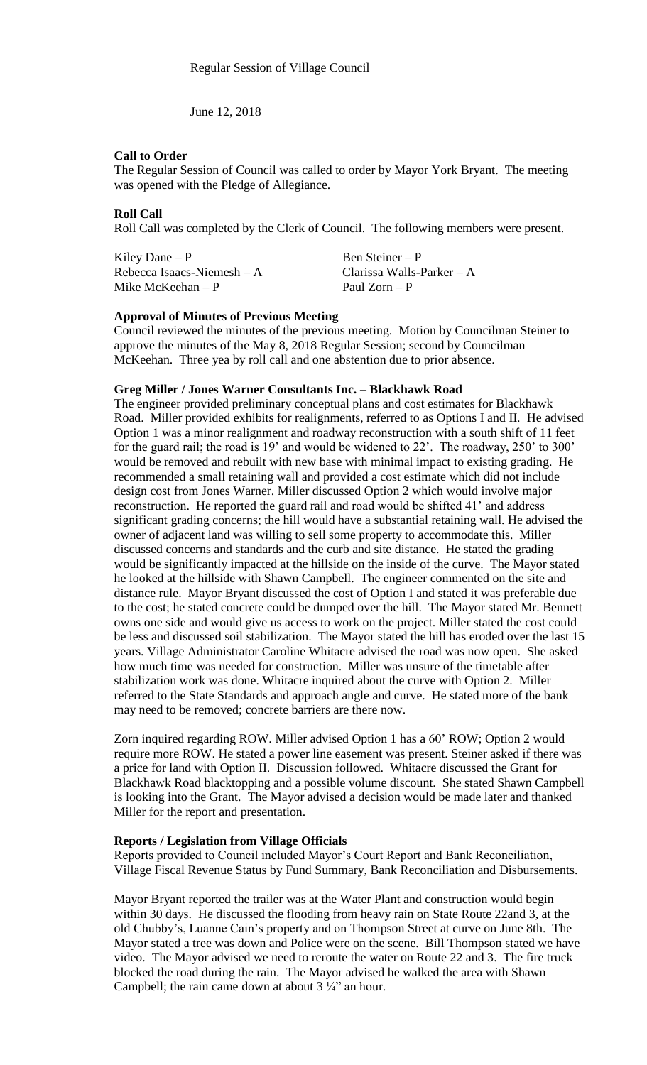June 12, 2018

## **Call to Order**

The Regular Session of Council was called to order by Mayor York Bryant. The meeting was opened with the Pledge of Allegiance.

## **Roll Call**

Roll Call was completed by the Clerk of Council. The following members were present.

Kiley Dane – P Ben Steiner – P Rebecca Isaacs-Niemesh – A Clarissa Walls-Parker – A<br>Mike McKeehan – P Paul Zorn – P Mike McKeehan –  $P$ 

## **Approval of Minutes of Previous Meeting**

Council reviewed the minutes of the previous meeting. Motion by Councilman Steiner to approve the minutes of the May 8, 2018 Regular Session; second by Councilman McKeehan. Three yea by roll call and one abstention due to prior absence.

## **Greg Miller / Jones Warner Consultants Inc. – Blackhawk Road**

The engineer provided preliminary conceptual plans and cost estimates for Blackhawk Road. Miller provided exhibits for realignments, referred to as Options I and II. He advised Option 1 was a minor realignment and roadway reconstruction with a south shift of 11 feet for the guard rail; the road is 19' and would be widened to 22'. The roadway, 250' to 300' would be removed and rebuilt with new base with minimal impact to existing grading. He recommended a small retaining wall and provided a cost estimate which did not include design cost from Jones Warner. Miller discussed Option 2 which would involve major reconstruction. He reported the guard rail and road would be shifted 41' and address significant grading concerns; the hill would have a substantial retaining wall. He advised the owner of adjacent land was willing to sell some property to accommodate this. Miller discussed concerns and standards and the curb and site distance. He stated the grading would be significantly impacted at the hillside on the inside of the curve. The Mayor stated he looked at the hillside with Shawn Campbell. The engineer commented on the site and distance rule. Mayor Bryant discussed the cost of Option I and stated it was preferable due to the cost; he stated concrete could be dumped over the hill. The Mayor stated Mr. Bennett owns one side and would give us access to work on the project. Miller stated the cost could be less and discussed soil stabilization. The Mayor stated the hill has eroded over the last 15 years. Village Administrator Caroline Whitacre advised the road was now open. She asked how much time was needed for construction. Miller was unsure of the timetable after stabilization work was done. Whitacre inquired about the curve with Option 2. Miller referred to the State Standards and approach angle and curve. He stated more of the bank may need to be removed; concrete barriers are there now.

Zorn inquired regarding ROW. Miller advised Option 1 has a 60' ROW; Option 2 would require more ROW. He stated a power line easement was present. Steiner asked if there was a price for land with Option II. Discussion followed. Whitacre discussed the Grant for Blackhawk Road blacktopping and a possible volume discount. She stated Shawn Campbell is looking into the Grant. The Mayor advised a decision would be made later and thanked Miller for the report and presentation.

#### **Reports / Legislation from Village Officials**

Reports provided to Council included Mayor's Court Report and Bank Reconciliation, Village Fiscal Revenue Status by Fund Summary, Bank Reconciliation and Disbursements.

Mayor Bryant reported the trailer was at the Water Plant and construction would begin within 30 days. He discussed the flooding from heavy rain on State Route 22and 3, at the old Chubby's, Luanne Cain's property and on Thompson Street at curve on June 8th. The Mayor stated a tree was down and Police were on the scene. Bill Thompson stated we have video. The Mayor advised we need to reroute the water on Route 22 and 3. The fire truck blocked the road during the rain. The Mayor advised he walked the area with Shawn Campbell; the rain came down at about  $3\frac{1}{4}$ " an hour.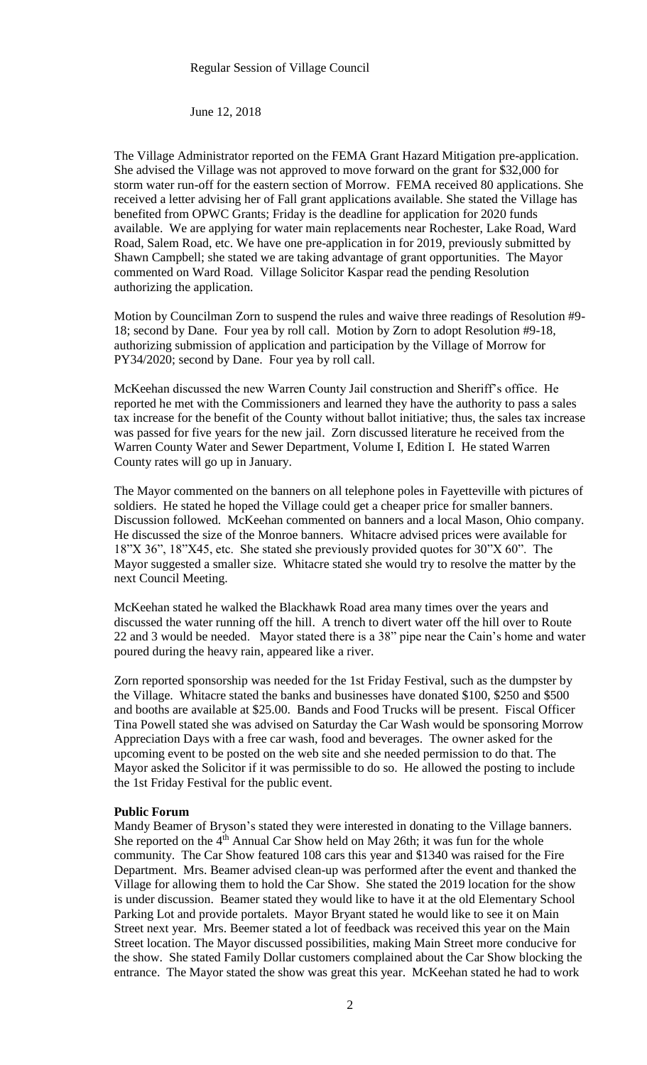June 12, 2018

The Village Administrator reported on the FEMA Grant Hazard Mitigation pre-application. She advised the Village was not approved to move forward on the grant for \$32,000 for storm water run-off for the eastern section of Morrow. FEMA received 80 applications. She received a letter advising her of Fall grant applications available. She stated the Village has benefited from OPWC Grants; Friday is the deadline for application for 2020 funds available. We are applying for water main replacements near Rochester, Lake Road, Ward Road, Salem Road, etc. We have one pre-application in for 2019, previously submitted by Shawn Campbell; she stated we are taking advantage of grant opportunities. The Mayor commented on Ward Road. Village Solicitor Kaspar read the pending Resolution authorizing the application.

Motion by Councilman Zorn to suspend the rules and waive three readings of Resolution #9- 18; second by Dane. Four yea by roll call. Motion by Zorn to adopt Resolution #9-18, authorizing submission of application and participation by the Village of Morrow for PY34/2020; second by Dane. Four yea by roll call.

McKeehan discussed the new Warren County Jail construction and Sheriff's office. He reported he met with the Commissioners and learned they have the authority to pass a sales tax increase for the benefit of the County without ballot initiative; thus, the sales tax increase was passed for five years for the new jail. Zorn discussed literature he received from the Warren County Water and Sewer Department, Volume I, Edition I. He stated Warren County rates will go up in January.

The Mayor commented on the banners on all telephone poles in Fayetteville with pictures of soldiers. He stated he hoped the Village could get a cheaper price for smaller banners. Discussion followed. McKeehan commented on banners and a local Mason, Ohio company. He discussed the size of the Monroe banners. Whitacre advised prices were available for 18"X 36", 18"X45, etc. She stated she previously provided quotes for 30"X 60". The Mayor suggested a smaller size. Whitacre stated she would try to resolve the matter by the next Council Meeting.

McKeehan stated he walked the Blackhawk Road area many times over the years and discussed the water running off the hill. A trench to divert water off the hill over to Route 22 and 3 would be needed. Mayor stated there is a 38" pipe near the Cain's home and water poured during the heavy rain, appeared like a river.

Zorn reported sponsorship was needed for the 1st Friday Festival, such as the dumpster by the Village. Whitacre stated the banks and businesses have donated \$100, \$250 and \$500 and booths are available at \$25.00. Bands and Food Trucks will be present. Fiscal Officer Tina Powell stated she was advised on Saturday the Car Wash would be sponsoring Morrow Appreciation Days with a free car wash, food and beverages. The owner asked for the upcoming event to be posted on the web site and she needed permission to do that. The Mayor asked the Solicitor if it was permissible to do so. He allowed the posting to include the 1st Friday Festival for the public event.

#### **Public Forum**

Mandy Beamer of Bryson's stated they were interested in donating to the Village banners. She reported on the 4<sup>th</sup> Annual Car Show held on May 26th; it was fun for the whole community. The Car Show featured 108 cars this year and \$1340 was raised for the Fire Department. Mrs. Beamer advised clean-up was performed after the event and thanked the Village for allowing them to hold the Car Show. She stated the 2019 location for the show is under discussion. Beamer stated they would like to have it at the old Elementary School Parking Lot and provide portalets. Mayor Bryant stated he would like to see it on Main Street next year. Mrs. Beemer stated a lot of feedback was received this year on the Main Street location. The Mayor discussed possibilities, making Main Street more conducive for the show. She stated Family Dollar customers complained about the Car Show blocking the entrance. The Mayor stated the show was great this year. McKeehan stated he had to work